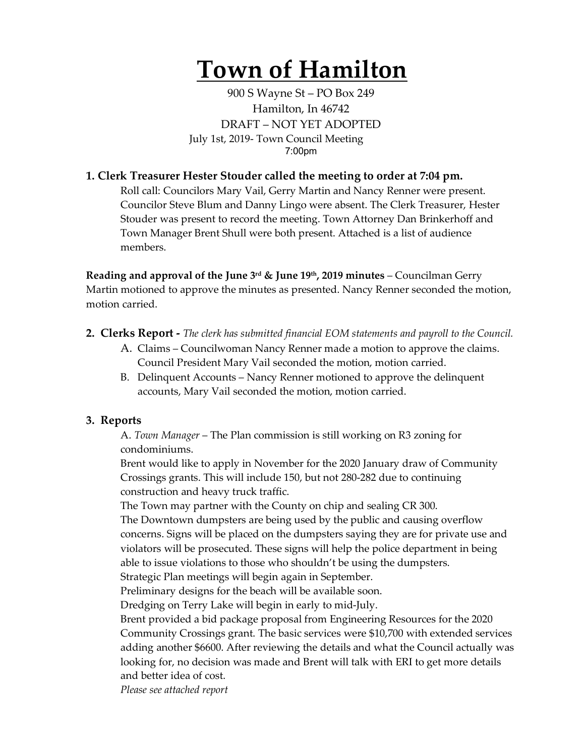# **Town of Hamilton**

900 S Wayne St – PO Box 249 Hamilton, In 46742 DRAFT – NOT YET ADOPTED July 1st, 2019- Town Council Meeting 7:00pm

### **1. Clerk Treasurer Hester Stouder called the meeting to order at 7:04 pm.**

Roll call: Councilors Mary Vail, Gerry Martin and Nancy Renner were present. Councilor Steve Blum and Danny Lingo were absent. The Clerk Treasurer, Hester Stouder was present to record the meeting. Town Attorney Dan Brinkerhoff and Town Manager Brent Shull were both present. Attached is a list of audience members.

**Reading and approval of the June 3rd & June 19th, 2019 minutes** – Councilman Gerry Martin motioned to approve the minutes as presented. Nancy Renner seconded the motion, motion carried.

- **2. Clerks Report -** *The clerk has submitted financial EOM statements and payroll to the Council.* 
	- A. Claims Councilwoman Nancy Renner made a motion to approve the claims. Council President Mary Vail seconded the motion, motion carried.
	- B. Delinquent Accounts Nancy Renner motioned to approve the delinquent accounts, Mary Vail seconded the motion, motion carried.

#### **3. Reports**

A. *Town Manager* – The Plan commission is still working on R3 zoning for condominiums.

Brent would like to apply in November for the 2020 January draw of Community Crossings grants. This will include 150, but not 280-282 due to continuing construction and heavy truck traffic.

The Town may partner with the County on chip and sealing CR 300.

The Downtown dumpsters are being used by the public and causing overflow concerns. Signs will be placed on the dumpsters saying they are for private use and violators will be prosecuted. These signs will help the police department in being able to issue violations to those who shouldn't be using the dumpsters. Strategic Plan meetings will begin again in September.

Preliminary designs for the beach will be available soon.

Dredging on Terry Lake will begin in early to mid-July.

Brent provided a bid package proposal from Engineering Resources for the 2020 Community Crossings grant. The basic services were \$10,700 with extended services adding another \$6600. After reviewing the details and what the Council actually was looking for, no decision was made and Brent will talk with ERI to get more details and better idea of cost.

*Please see attached report*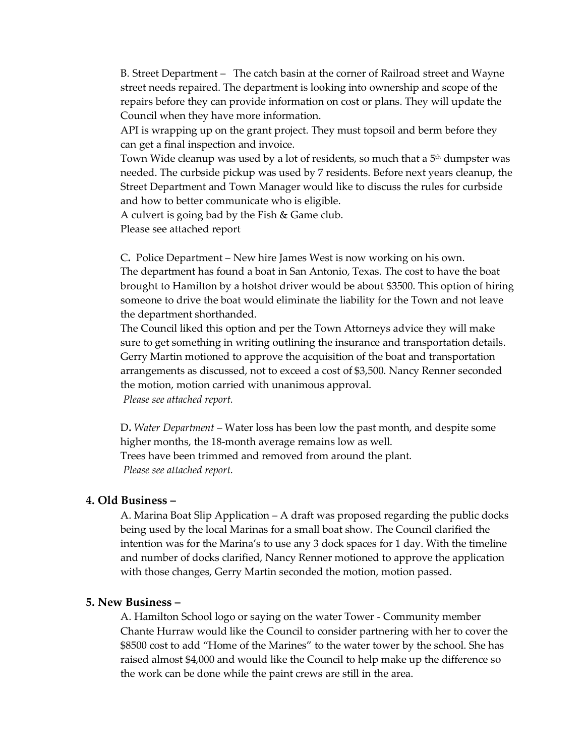B. Street Department – The catch basin at the corner of Railroad street and Wayne street needs repaired. The department is looking into ownership and scope of the repairs before they can provide information on cost or plans. They will update the Council when they have more information.

API is wrapping up on the grant project. They must topsoil and berm before they can get a final inspection and invoice.

Town Wide cleanup was used by a lot of residents, so much that a  $5<sup>th</sup>$  dumpster was needed. The curbside pickup was used by 7 residents. Before next years cleanup, the Street Department and Town Manager would like to discuss the rules for curbside and how to better communicate who is eligible.

A culvert is going bad by the Fish & Game club.

Please see attached report

C**.** Police Department – New hire James West is now working on his own. The department has found a boat in San Antonio, Texas. The cost to have the boat brought to Hamilton by a hotshot driver would be about \$3500. This option of hiring someone to drive the boat would eliminate the liability for the Town and not leave the department shorthanded.

The Council liked this option and per the Town Attorneys advice they will make sure to get something in writing outlining the insurance and transportation details. Gerry Martin motioned to approve the acquisition of the boat and transportation arrangements as discussed, not to exceed a cost of \$3,500. Nancy Renner seconded the motion, motion carried with unanimous approval.

*Please see attached report.*

D**.** *Water Department* – Water loss has been low the past month, and despite some higher months, the 18-month average remains low as well. Trees have been trimmed and removed from around the plant. *Please see attached report.* 

#### **4. Old Business –**

A. Marina Boat Slip Application – A draft was proposed regarding the public docks being used by the local Marinas for a small boat show. The Council clarified the intention was for the Marina's to use any 3 dock spaces for 1 day. With the timeline and number of docks clarified, Nancy Renner motioned to approve the application with those changes, Gerry Martin seconded the motion, motion passed.

#### **5. New Business –**

A. Hamilton School logo or saying on the water Tower - Community member Chante Hurraw would like the Council to consider partnering with her to cover the \$8500 cost to add "Home of the Marines" to the water tower by the school. She has raised almost \$4,000 and would like the Council to help make up the difference so the work can be done while the paint crews are still in the area.